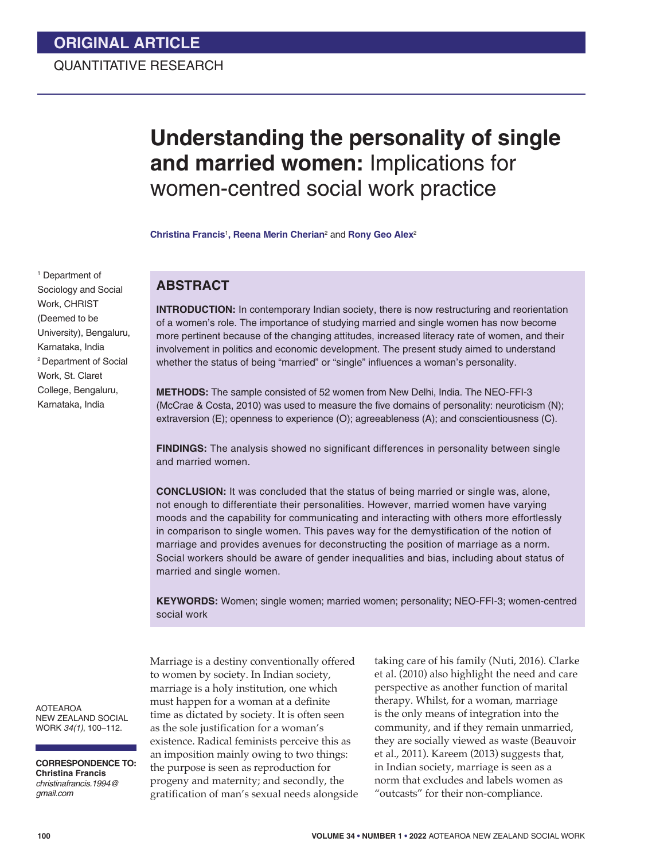# **ORIGINAL ARTICLE**

# QUANTITATIVE RESEARCH

# **Understanding the personality of single and married women:** Implications for women-centred social work practice

**Christina Francis**<sup>1</sup> **, Reena Merin Cherian**<sup>2</sup> and **Rony Geo Alex**<sup>2</sup>

1 Department of Sociology and Social Work, CHRIST (Deemed to be University), Bengaluru, Karnataka, India 2 Department of Social Work, St. Claret

College, Bengaluru, Karnataka, India

# **ABSTRACT**

**INTRODUCTION:** In contemporary Indian society, there is now restructuring and reorientation of a women's role. The importance of studying married and single women has now become more pertinent because of the changing attitudes, increased literacy rate of women, and their involvement in politics and economic development. The present study aimed to understand whether the status of being "married" or "single" influences a woman's personality.

**METHODS:** The sample consisted of 52 women from New Delhi, India. The NEO-FFI-3 (McCrae & Costa, 2010) was used to measure the five domains of personality: neuroticism (N); extraversion (E); openness to experience (O); agreeableness (A); and conscientiousness (C).

**FINDINGS:** The analysis showed no significant differences in personality between single and married women.

**CONCLUSION:** It was concluded that the status of being married or single was, alone, not enough to differentiate their personalities. However, married women have varying moods and the capability for communicating and interacting with others more effortlessly in comparison to single women. This paves way for the demystification of the notion of marriage and provides avenues for deconstructing the position of marriage as a norm. Social workers should be aware of gender inequalities and bias, including about status of married and single women.

**KEYWORDS:** Women; single women; married women; personality; NEO-FFI-3; women-centred social work

AOTEAROA NEW ZEALAND SOCIAL WORK *34(1)*, 100–112.

**CORRESPONDENCE TO: Christina Francis** *christinafrancis.1994@ gmail.com*

Marriage is a destiny conventionally offered to women by society. In Indian society, marriage is a holy institution, one which must happen for a woman at a definite time as dictated by society. It is often seen as the sole justification for a woman's existence. Radical feminists perceive this as an imposition mainly owing to two things: the purpose is seen as reproduction for progeny and maternity; and secondly, the gratification of man's sexual needs alongside

taking care of his family (Nuti, 2016). Clarke et al. (2010) also highlight the need and care perspective as another function of marital therapy. Whilst, for a woman, marriage is the only means of integration into the community, and if they remain unmarried, they are socially viewed as waste (Beauvoir et al., 2011). Kareem (2013) suggests that, in Indian society, marriage is seen as a norm that excludes and labels women as "outcasts" for their non-compliance.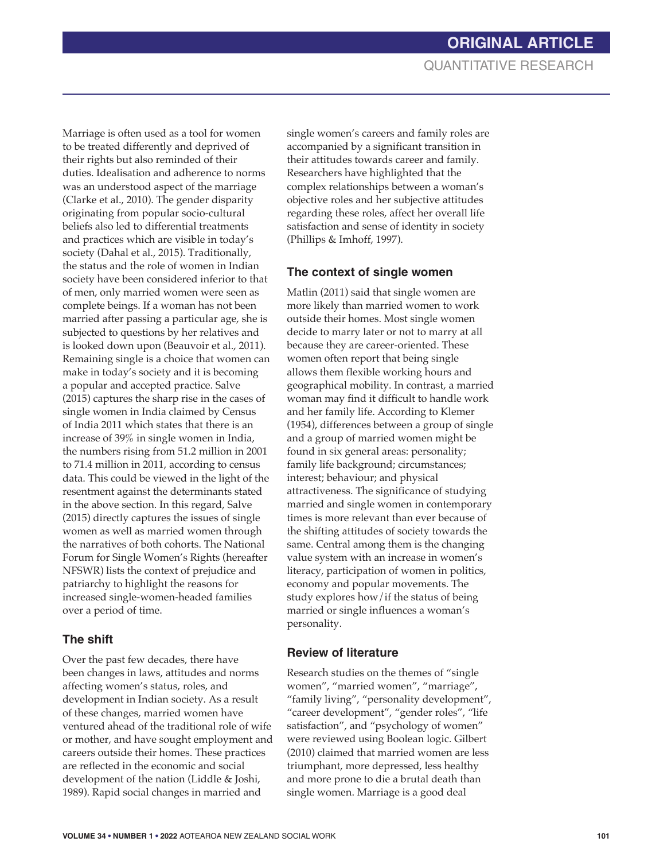Marriage is often used as a tool for women to be treated differently and deprived of their rights but also reminded of their duties. Idealisation and adherence to norms was an understood aspect of the marriage (Clarke et al., 2010). The gender disparity originating from popular socio-cultural beliefs also led to differential treatments and practices which are visible in today's society (Dahal et al., 2015). Traditionally, the status and the role of women in Indian society have been considered inferior to that of men, only married women were seen as complete beings. If a woman has not been married after passing a particular age, she is subjected to questions by her relatives and is looked down upon (Beauvoir et al., 2011). Remaining single is a choice that women can make in today's society and it is becoming a popular and accepted practice. Salve (2015) captures the sharp rise in the cases of single women in India claimed by Census of India 2011 which states that there is an increase of 39% in single women in India, the numbers rising from 51.2 million in 2001 to 71.4 million in 2011, according to census data. This could be viewed in the light of the resentment against the determinants stated in the above section. In this regard, Salve (2015) directly captures the issues of single women as well as married women through the narratives of both cohorts. The National Forum for Single Women's Rights (hereafter NFSWR) lists the context of prejudice and patriarchy to highlight the reasons for increased single-women-headed families over a period of time.

# **The shift**

Over the past few decades, there have been changes in laws, attitudes and norms affecting women's status, roles, and development in Indian society. As a result of these changes, married women have ventured ahead of the traditional role of wife or mother, and have sought employment and careers outside their homes. These practices are reflected in the economic and social development of the nation (Liddle & Joshi, 1989). Rapid social changes in married and

single women's careers and family roles are accompanied by a significant transition in their attitudes towards career and family. Researchers have highlighted that the complex relationships between a woman's objective roles and her subjective attitudes regarding these roles, affect her overall life satisfaction and sense of identity in society (Phillips & Imhoff, 1997).

### **The context of single women**

Matlin (2011) said that single women are more likely than married women to work outside their homes. Most single women decide to marry later or not to marry at all because they are career-oriented. These women often report that being single allows them flexible working hours and geographical mobility. In contrast, a married woman may find it difficult to handle work and her family life. According to Klemer (1954), differences between a group of single and a group of married women might be found in six general areas: personality; family life background; circumstances; interest; behaviour; and physical attractiveness. The significance of studying married and single women in contemporary times is more relevant than ever because of the shifting attitudes of society towards the same. Central among them is the changing value system with an increase in women's literacy, participation of women in politics, economy and popular movements. The study explores how/if the status of being married or single influences a woman's personality.

### **Review of literature**

Research studies on the themes of "single women", "married women", "marriage", "family living", "personality development", "career development", "gender roles", "life satisfaction", and "psychology of women" were reviewed using Boolean logic. Gilbert (2010) claimed that married women are less triumphant, more depressed, less healthy and more prone to die a brutal death than single women. Marriage is a good deal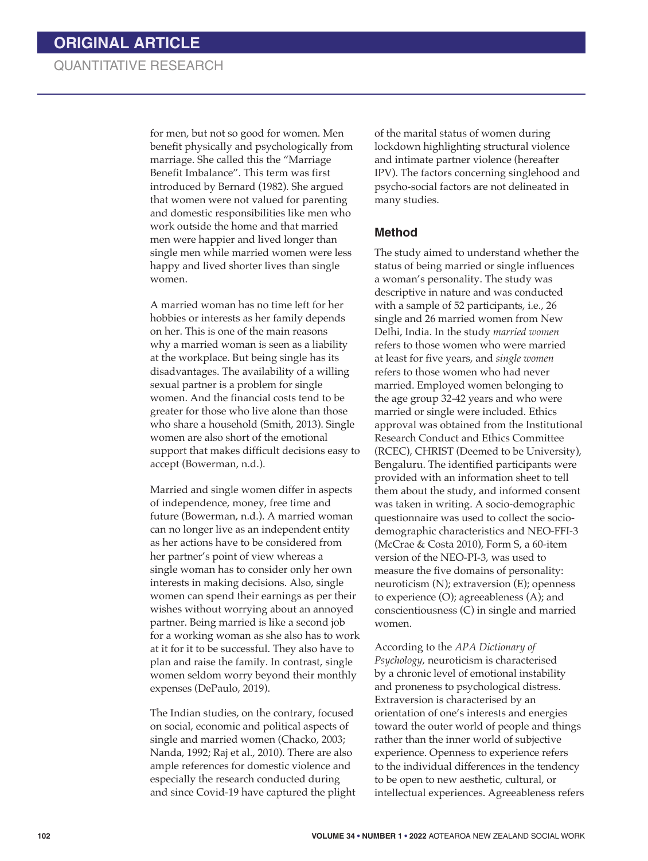# QUANTITATIVE RESEARCH

for men, but not so good for women. Men benefit physically and psychologically from marriage. She called this the "Marriage Benefit Imbalance". This term was first introduced by Bernard (1982). She argued that women were not valued for parenting and domestic responsibilities like men who work outside the home and that married men were happier and lived longer than single men while married women were less happy and lived shorter lives than single women.

A married woman has no time left for her hobbies or interests as her family depends on her. This is one of the main reasons why a married woman is seen as a liability at the workplace. But being single has its disadvantages. The availability of a willing sexual partner is a problem for single women. And the financial costs tend to be greater for those who live alone than those who share a household (Smith, 2013). Single women are also short of the emotional support that makes difficult decisions easy to accept (Bowerman, n.d.).

Married and single women differ in aspects of independence, money, free time and future (Bowerman, n.d.). A married woman can no longer live as an independent entity as her actions have to be considered from her partner's point of view whereas a single woman has to consider only her own interests in making decisions. Also, single women can spend their earnings as per their wishes without worrying about an annoyed partner. Being married is like a second job for a working woman as she also has to work at it for it to be successful. They also have to plan and raise the family. In contrast, single women seldom worry beyond their monthly expenses (DePaulo, 2019).

The Indian studies, on the contrary, focused on social, economic and political aspects of single and married women (Chacko, 2003; Nanda, 1992; Raj et al., 2010). There are also ample references for domestic violence and especially the research conducted during and since Covid-19 have captured the plight

of the marital status of women during lockdown highlighting structural violence and intimate partner violence (hereafter IPV). The factors concerning singlehood and psycho-social factors are not delineated in many studies.

#### **Method**

The study aimed to understand whether the status of being married or single influences a woman's personality. The study was descriptive in nature and was conducted with a sample of 52 participants, i.e., 26 single and 26 married women from New Delhi, India. In the study *married women* refers to those women who were married at least for five years, and *single women* refers to those women who had never married. Employed women belonging to the age group 32-42 years and who were married or single were included. Ethics approval was obtained from the Institutional Research Conduct and Ethics Committee (RCEC), CHRIST (Deemed to be University), Bengaluru. The identified participants were provided with an information sheet to tell them about the study, and informed consent was taken in writing. A socio-demographic questionnaire was used to collect the sociodemographic characteristics and NEO-FFI-3 (McCrae & Costa 2010), Form S, a 60-item version of the NEO-PI-3, was used to measure the five domains of personality: neuroticism (N); extraversion (E); openness to experience (O); agreeableness (A); and conscientiousness (C) in single and married women.

According to the *APA Dictionary of Psychology*, neuroticism is characterised by a chronic level of emotional instability and proneness to psychological distress. Extraversion is characterised by an orientation of one's interests and energies toward the outer world of people and things rather than the inner world of subjective experience. Openness to experience refers to the individual differences in the tendency to be open to new aesthetic, cultural, or intellectual experiences. Agreeableness refers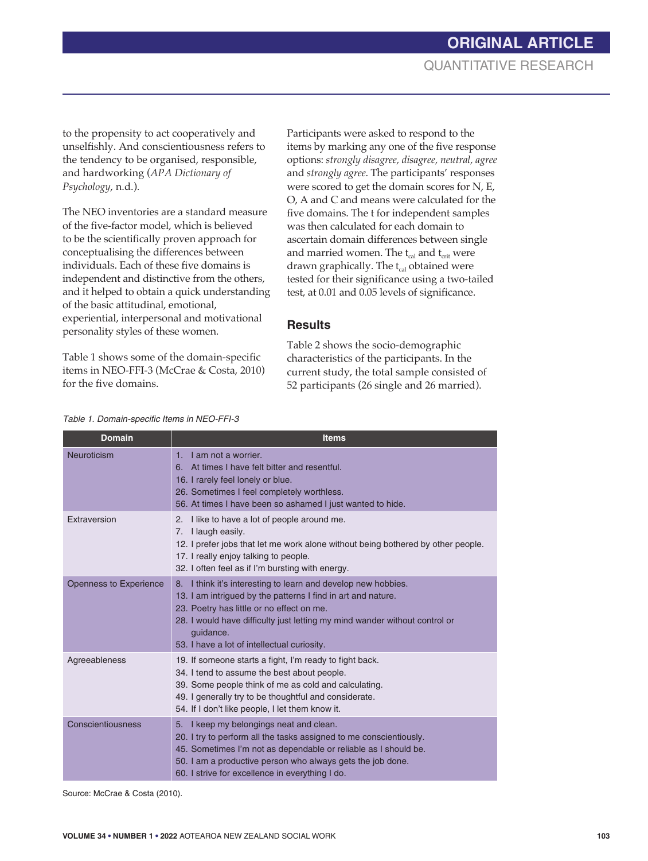to the propensity to act cooperatively and unselfishly. And conscientiousness refers to the tendency to be organised, responsible, and hardworking (*APA Dictionary of Psychology*, n.d.).

The NEO inventories are a standard measure of the five-factor model, which is believed to be the scientifically proven approach for conceptualising the differences between individuals. Each of these five domains is independent and distinctive from the others, and it helped to obtain a quick understanding of the basic attitudinal, emotional, experiential, interpersonal and motivational personality styles of these women.

Table 1 shows some of the domain-specific items in NEO-FFI-3 (McCrae & Costa, 2010) for the five domains.

Participants were asked to respond to the items by marking any one of the five response options: *strongly disagree, disagree, neutral, agree* and *strongly agree*. The participants' responses were scored to get the domain scores for N, E, O, A and C and means were calculated for the five domains. The t for independent samples was then calculated for each domain to ascertain domain differences between single and married women. The  $t_{cal}$  and  $t_{crit}$  were drawn graphically. The  $t_{cal}$  obtained were tested for their significance using a two-tailed test, at 0.01 and 0.05 levels of significance.

#### **Results**

Table 2 shows the socio-demographic characteristics of the participants. In the current study, the total sample consisted of 52 participants (26 single and 26 married).

| <b>Domain</b>          | <b>Items</b>                                                                                                                                                                                                                                                                                                            |
|------------------------|-------------------------------------------------------------------------------------------------------------------------------------------------------------------------------------------------------------------------------------------------------------------------------------------------------------------------|
| Neuroticism            | I am not a worrier.<br>1.<br>At times I have felt bitter and resentful.<br>6.<br>16. I rarely feel lonely or blue.<br>26. Sometimes I feel completely worthless.<br>56. At times I have been so ashamed I just wanted to hide.                                                                                          |
| Extraversion           | I like to have a lot of people around me.<br>2.<br>I laugh easily.<br>7.<br>12. I prefer jobs that let me work alone without being bothered by other people.<br>17. I really enjoy talking to people.<br>32. I often feel as if I'm bursting with energy.                                                               |
| Openness to Experience | I think it's interesting to learn and develop new hobbies.<br>8.<br>13. I am intrigued by the patterns I find in art and nature.<br>23. Poetry has little or no effect on me.<br>28. I would have difficulty just letting my mind wander without control or<br>quidance.<br>53. I have a lot of intellectual curiosity. |
| Agreeableness          | 19. If someone starts a fight, I'm ready to fight back.<br>34. I tend to assume the best about people.<br>39. Some people think of me as cold and calculating.<br>49. I generally try to be thoughtful and considerate.<br>54. If I don't like people, I let them know it.                                              |
| Conscientiousness      | I keep my belongings neat and clean.<br>5.<br>20. I try to perform all the tasks assigned to me conscientiously.<br>45. Sometimes I'm not as dependable or reliable as I should be.<br>50. I am a productive person who always gets the job done.<br>60. I strive for excellence in everything I do.                    |

*Table 1. Domain-specific Items in NEO-FFI-3*

Source: McCrae & Costa (2010).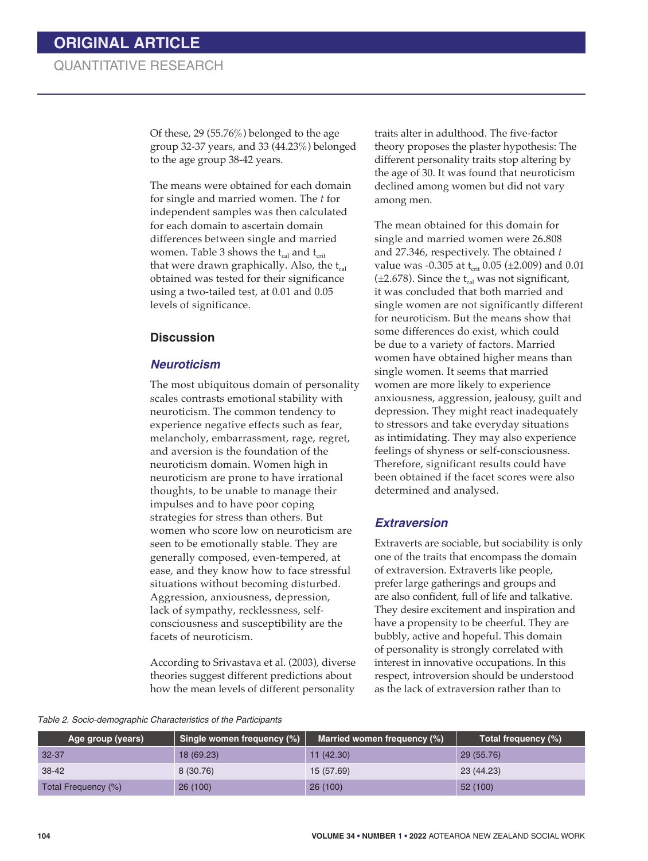Of these, 29 (55.76%) belonged to the age group 32-37 years, and 33 (44.23%) belonged to the age group 38-42 years.

The means were obtained for each domain for single and married women. The *t* for independent samples was then calculated for each domain to ascertain domain differences between single and married women. Table 3 shows the  $t_{cal}$  and  $t_{crit}$ that were drawn graphically. Also, the  $t_{cal}$ obtained was tested for their significance using a two-tailed test, at 0.01 and 0.05 levels of significance.

#### **Discussion**

#### *Neuroticism*

The most ubiquitous domain of personality scales contrasts emotional stability with neuroticism. The common tendency to experience negative effects such as fear, melancholy, embarrassment, rage, regret, and aversion is the foundation of the neuroticism domain. Women high in neuroticism are prone to have irrational thoughts, to be unable to manage their impulses and to have poor coping strategies for stress than others. But women who score low on neuroticism are seen to be emotionally stable. They are generally composed, even-tempered, at ease, and they know how to face stressful situations without becoming disturbed. Aggression, anxiousness, depression, lack of sympathy, recklessness, selfconsciousness and susceptibility are the facets of neuroticism.

According to Srivastava et al. (2003), diverse theories suggest different predictions about how the mean levels of different personality

traits alter in adulthood. The five-factor theory proposes the plaster hypothesis: The different personality traits stop altering by the age of 30. It was found that neuroticism declined among women but did not vary among men.

The mean obtained for this domain for single and married women were 26.808 and 27.346, respectively. The obtained *t* value was -0.305 at  $t_{crit}$  0.05 ( $\pm$ 2.009) and 0.01 ( $\pm$ 2.678). Since the t<sub>cal</sub> was not significant, it was concluded that both married and single women are not significantly different for neuroticism. But the means show that some differences do exist, which could be due to a variety of factors. Married women have obtained higher means than single women. It seems that married women are more likely to experience anxiousness, aggression, jealousy, guilt and depression. They might react inadequately to stressors and take everyday situations as intimidating. They may also experience feelings of shyness or self-consciousness. Therefore, significant results could have been obtained if the facet scores were also determined and analysed.

### *Extraversion*

Extraverts are sociable, but sociability is only one of the traits that encompass the domain of extraversion. Extraverts like people, prefer large gatherings and groups and are also confident, full of life and talkative. They desire excitement and inspiration and have a propensity to be cheerful. They are bubbly, active and hopeful. This domain of personality is strongly correlated with interest in innovative occupations. In this respect, introversion should be understood as the lack of extraversion rather than to

*Table 2. Socio-demographic Characteristics of the Participants*

| Age group (years)   | Single women frequency (%) | Married women frequency (%) | Total frequency (%) |
|---------------------|----------------------------|-----------------------------|---------------------|
| $32 - 37$           | 18 (69.23)                 | 11(42.30)                   | 29 (55.76)          |
| 38-42               | 8 (30.76)                  | 15 (57.69)                  | 23 (44.23)          |
| Total Frequency (%) | 26(100)                    | 26(100)                     | 52 (100)            |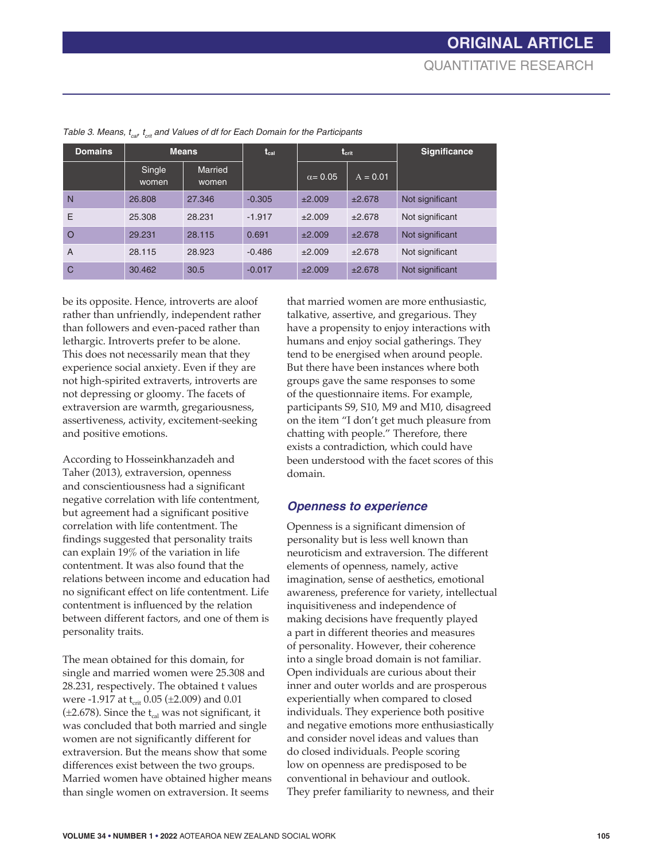| <b>Domains</b> | <b>Means</b>    |                  | $t_{cal}$ | $\mathbf{t}_{\text{crit}}$ |            | <b>Significance</b> |
|----------------|-----------------|------------------|-----------|----------------------------|------------|---------------------|
|                | Single<br>women | Married<br>women |           | $\alpha$ = 0.05            | $A = 0.01$ |                     |
| N              | 26,808          | 27.346           | $-0.305$  | ±2.009                     | ±2.678     | Not significant     |
| E              | 25,308          | 28.231           | $-1.917$  | ±2.009                     | ±2.678     | Not significant     |
| $\circ$        | 29.231          | 28.115           | 0.691     | ±2.009                     | ±2.678     | Not significant     |
| $\overline{A}$ | 28.115          | 28.923           | $-0.486$  | ±2.009                     | ±2.678     | Not significant     |
| $\mathsf{C}$   | 30.462          | 30.5             | $-0.017$  | ±2.009                     | ±2.678     | Not significant     |

*Table 3. Means, t<sub>cal</sub>, t<sub>crit</sub> and Values of df for Each Domain for the Participants* 

be its opposite. Hence, introverts are aloof rather than unfriendly, independent rather than followers and even-paced rather than lethargic. Introverts prefer to be alone. This does not necessarily mean that they experience social anxiety. Even if they are not high-spirited extraverts, introverts are not depressing or gloomy. The facets of extraversion are warmth, gregariousness, assertiveness, activity, excitement-seeking and positive emotions.

According to Hosseinkhanzadeh and Taher (2013), extraversion, openness and conscientiousness had a significant negative correlation with life contentment, but agreement had a significant positive correlation with life contentment. The findings suggested that personality traits can explain 19% of the variation in life contentment. It was also found that the relations between income and education had no significant effect on life contentment. Life contentment is influenced by the relation between different factors, and one of them is personality traits.

The mean obtained for this domain, for single and married women were 25.308 and 28.231, respectively. The obtained t values were -1.917 at  $t_{crit}$  0.05 ( $\pm$ 2.009) and 0.01  $(\pm 2.678)$ . Since the t<sub>cal</sub> was not significant, it was concluded that both married and single women are not significantly different for extraversion. But the means show that some differences exist between the two groups. Married women have obtained higher means than single women on extraversion. It seems

that married women are more enthusiastic, talkative, assertive, and gregarious. They have a propensity to enjoy interactions with humans and enjoy social gatherings. They tend to be energised when around people. But there have been instances where both groups gave the same responses to some of the questionnaire items. For example, participants S9, S10, M9 and M10, disagreed on the item "I don't get much pleasure from chatting with people." Therefore, there exists a contradiction, which could have been understood with the facet scores of this domain.

#### *Openness to experience*

Openness is a significant dimension of personality but is less well known than neuroticism and extraversion. The different elements of openness, namely, active imagination, sense of aesthetics, emotional awareness, preference for variety, intellectual inquisitiveness and independence of making decisions have frequently played a part in different theories and measures of personality. However, their coherence into a single broad domain is not familiar. Open individuals are curious about their inner and outer worlds and are prosperous experientially when compared to closed individuals. They experience both positive and negative emotions more enthusiastically and consider novel ideas and values than do closed individuals. People scoring low on openness are predisposed to be conventional in behaviour and outlook. They prefer familiarity to newness, and their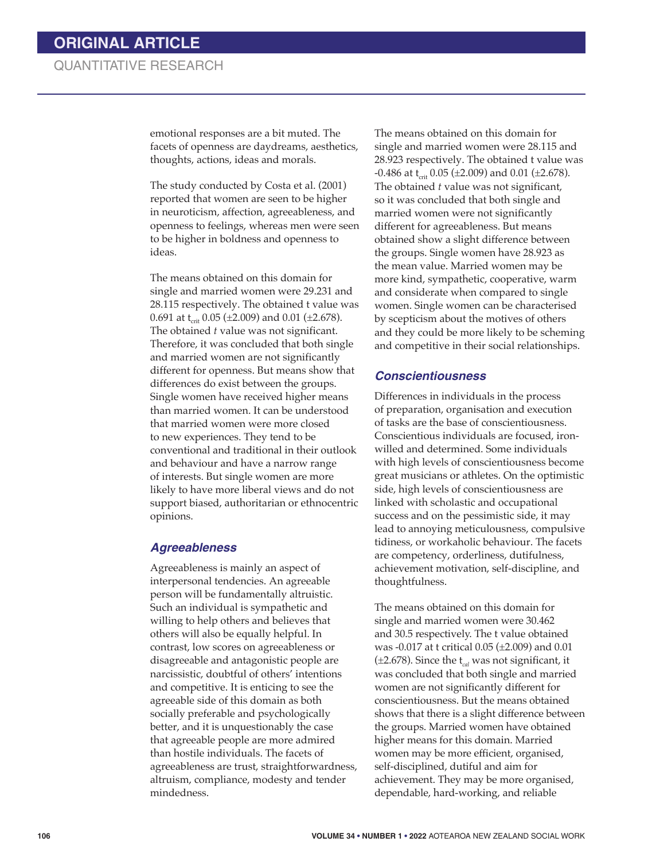emotional responses are a bit muted. The facets of openness are daydreams, aesthetics, thoughts, actions, ideas and morals.

The study conducted by Costa et al. (2001) reported that women are seen to be higher in neuroticism, affection, agreeableness, and openness to feelings, whereas men were seen to be higher in boldness and openness to ideas.

The means obtained on this domain for single and married women were 29.231 and 28.115 respectively. The obtained t value was 0.691 at  $t_{\text{crit}}$  0.05 ( $\pm$ 2.009) and 0.01 ( $\pm$ 2.678). The obtained *t* value was not significant. Therefore, it was concluded that both single and married women are not significantly different for openness. But means show that differences do exist between the groups. Single women have received higher means than married women. It can be understood that married women were more closed to new experiences. They tend to be conventional and traditional in their outlook and behaviour and have a narrow range of interests. But single women are more likely to have more liberal views and do not support biased, authoritarian or ethnocentric opinions.

#### *Agreeableness*

Agreeableness is mainly an aspect of interpersonal tendencies. An agreeable person will be fundamentally altruistic. Such an individual is sympathetic and willing to help others and believes that others will also be equally helpful. In contrast, low scores on agreeableness or disagreeable and antagonistic people are narcissistic, doubtful of others' intentions and competitive. It is enticing to see the agreeable side of this domain as both socially preferable and psychologically better, and it is unquestionably the case that agreeable people are more admired than hostile individuals. The facets of agreeableness are trust, straightforwardness, altruism, compliance, modesty and tender mindedness.

The means obtained on this domain for single and married women were 28.115 and 28.923 respectively. The obtained t value was  $-0.486$  at t<sub>crit</sub> 0.05 ( $\pm$ 2.009) and 0.01 ( $\pm$ 2.678). The obtained *t* value was not significant, so it was concluded that both single and married women were not significantly different for agreeableness. But means obtained show a slight difference between the groups. Single women have 28.923 as the mean value. Married women may be more kind, sympathetic, cooperative, warm and considerate when compared to single women. Single women can be characterised by scepticism about the motives of others and they could be more likely to be scheming and competitive in their social relationships.

#### *Conscientiousness*

Differences in individuals in the process of preparation, organisation and execution of tasks are the base of conscientiousness. Conscientious individuals are focused, ironwilled and determined. Some individuals with high levels of conscientiousness become great musicians or athletes. On the optimistic side, high levels of conscientiousness are linked with scholastic and occupational success and on the pessimistic side, it may lead to annoying meticulousness, compulsive tidiness, or workaholic behaviour. The facets are competency, orderliness, dutifulness, achievement motivation, self-discipline, and thoughtfulness.

The means obtained on this domain for single and married women were 30.462 and 30.5 respectively. The t value obtained was -0.017 at t critical 0.05 (±2.009) and 0.01 (±2.678). Since the t*cal* was not significant, it was concluded that both single and married women are not significantly different for conscientiousness. But the means obtained shows that there is a slight difference between the groups. Married women have obtained higher means for this domain. Married women may be more efficient, organised, self-disciplined, dutiful and aim for achievement. They may be more organised, dependable, hard-working, and reliable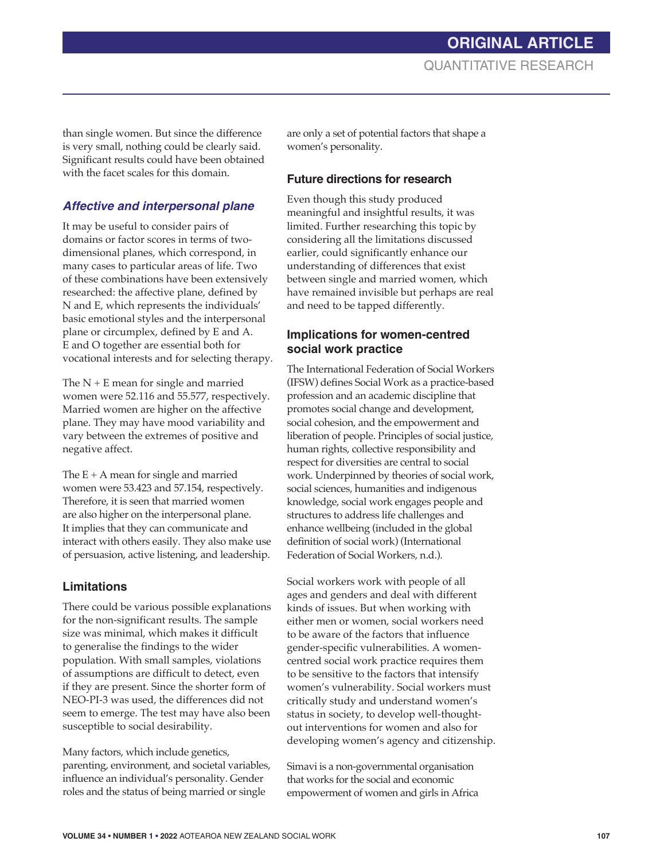than single women. But since the difference is very small, nothing could be clearly said. Significant results could have been obtained with the facet scales for this domain.

# *Affective and interpersonal plane*

It may be useful to consider pairs of domains or factor scores in terms of twodimensional planes, which correspond, in many cases to particular areas of life. Two of these combinations have been extensively researched: the affective plane, defined by N and E, which represents the individuals' basic emotional styles and the interpersonal plane or circumplex, defined by E and A. E and O together are essential both for vocational interests and for selecting therapy.

The  $N + E$  mean for single and married women were 52.116 and 55.577, respectively. Married women are higher on the affective plane. They may have mood variability and vary between the extremes of positive and negative affect.

The  $E + A$  mean for single and married women were 53.423 and 57.154, respectively. Therefore, it is seen that married women are also higher on the interpersonal plane. It implies that they can communicate and interact with others easily. They also make use of persuasion, active listening, and leadership.

# **Limitations**

There could be various possible explanations for the non-significant results. The sample size was minimal, which makes it difficult to generalise the findings to the wider population. With small samples, violations of assumptions are difficult to detect, even if they are present. Since the shorter form of NEO-PI-3 was used, the differences did not seem to emerge. The test may have also been susceptible to social desirability.

Many factors, which include genetics, parenting, environment, and societal variables, influence an individual's personality. Gender roles and the status of being married or single

are only a set of potential factors that shape a women's personality.

#### **Future directions for research**

Even though this study produced meaningful and insightful results, it was limited. Further researching this topic by considering all the limitations discussed earlier, could significantly enhance our understanding of differences that exist between single and married women, which have remained invisible but perhaps are real and need to be tapped differently.

## **Implications for women-centred social work practice**

The International Federation of Social Workers (IFSW) defines Social Work as a practice-based profession and an academic discipline that promotes social change and development, social cohesion, and the empowerment and liberation of people. Principles of social justice, human rights, collective responsibility and respect for diversities are central to social work. Underpinned by theories of social work, social sciences, humanities and indigenous knowledge, social work engages people and structures to address life challenges and enhance wellbeing (included in the global definition of social work) (International Federation of Social Workers, n.d.).

Social workers work with people of all ages and genders and deal with different kinds of issues. But when working with either men or women, social workers need to be aware of the factors that influence gender-specific vulnerabilities. A womencentred social work practice requires them to be sensitive to the factors that intensify women's vulnerability. Social workers must critically study and understand women's status in society, to develop well-thoughtout interventions for women and also for developing women's agency and citizenship.

Simavi is a non-governmental organisation that works for the social and economic empowerment of women and girls in Africa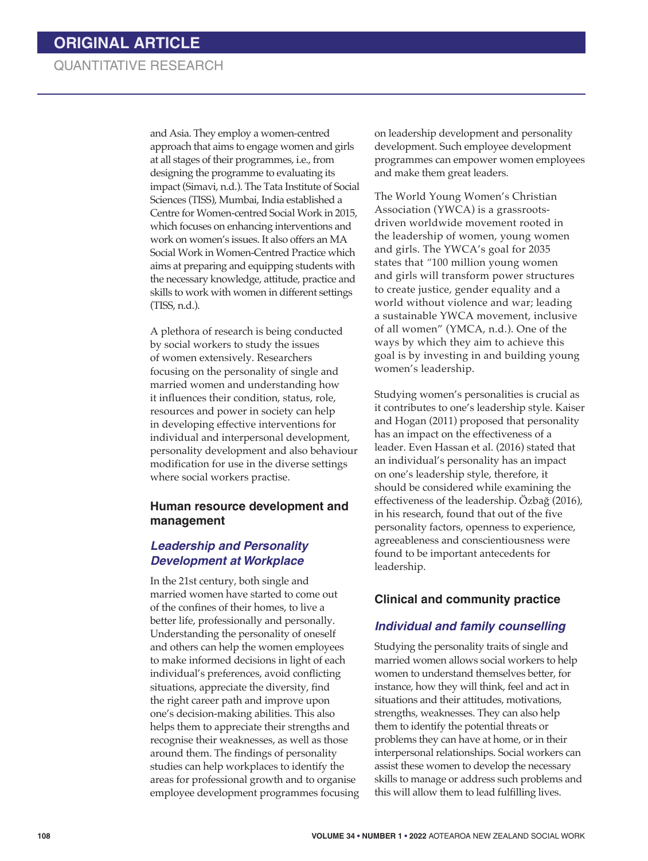# QUANTITATIVE RESEARCH

and Asia. They employ a women-centred approach that aims to engage women and girls at all stages of their programmes, i.e., from designing the programme to evaluating its impact (Simavi, n.d.). The Tata Institute of Social Sciences (TISS), Mumbai, India established a Centre for Women-centred Social Work in 2015, which focuses on enhancing interventions and work on women's issues. It also offers an MA Social Work in Women-Centred Practice which aims at preparing and equipping students with the necessary knowledge, attitude, practice and skills to work with women in different settings (TISS, n.d.).

A plethora of research is being conducted by social workers to study the issues of women extensively. Researchers focusing on the personality of single and married women and understanding how it influences their condition, status, role, resources and power in society can help in developing effective interventions for individual and interpersonal development, personality development and also behaviour modification for use in the diverse settings where social workers practise.

#### **Human resource development and management**

#### *Leadership and Personality Development at Workplace*

In the 21st century, both single and married women have started to come out of the confines of their homes, to live a better life, professionally and personally. Understanding the personality of oneself and others can help the women employees to make informed decisions in light of each individual's preferences, avoid conflicting situations, appreciate the diversity, find the right career path and improve upon one's decision-making abilities. This also helps them to appreciate their strengths and recognise their weaknesses, as well as those around them. The findings of personality studies can help workplaces to identify the areas for professional growth and to organise employee development programmes focusing on leadership development and personality development. Such employee development programmes can empower women employees and make them great leaders.

The World Young Women's Christian Association (YWCA) is a grassrootsdriven worldwide movement rooted in the leadership of women, young women and girls. The YWCA's goal for 2035 states that *"*100 million young women and girls will transform power structures to create justice, gender equality and a world without violence and war; leading a sustainable YWCA movement, inclusive of all women" (YMCA, n.d.). One of the ways by which they aim to achieve this goal is by investing in and building young women's leadership.

Studying women's personalities is crucial as it contributes to one's leadership style. Kaiser and Hogan (2011) proposed that personality has an impact on the effectiveness of a leader. Even Hassan et al. (2016) stated that an individual's personality has an impact on one's leadership style, therefore, it should be considered while examining the effectiveness of the leadership. Özbağ (2016), in his research, found that out of the five personality factors, openness to experience, agreeableness and conscientiousness were found to be important antecedents for leadership.

### **Clinical and community practice**

#### *Individual and family counselling*

Studying the personality traits of single and married women allows social workers to help women to understand themselves better, for instance, how they will think, feel and act in situations and their attitudes, motivations, strengths, weaknesses. They can also help them to identify the potential threats or problems they can have at home, or in their interpersonal relationships. Social workers can assist these women to develop the necessary skills to manage or address such problems and this will allow them to lead fulfilling lives.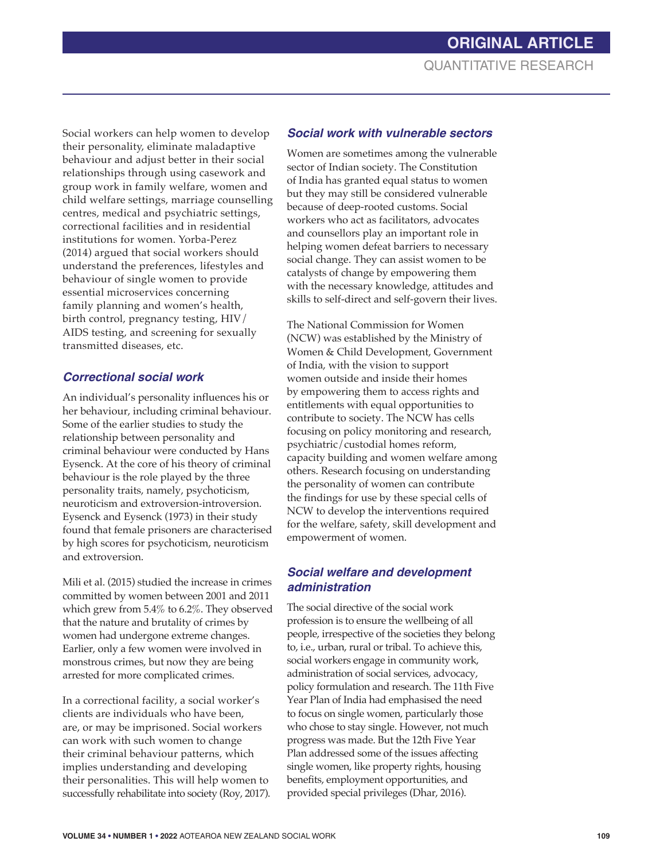Social workers can help women to develop their personality, eliminate maladaptive behaviour and adjust better in their social relationships through using casework and group work in family welfare, women and child welfare settings, marriage counselling centres, medical and psychiatric settings, correctional facilities and in residential institutions for women. Yorba-Perez (2014) argued that social workers should understand the preferences, lifestyles and behaviour of single women to provide essential microservices concerning family planning and women's health, birth control, pregnancy testing, HIV/ AIDS testing, and screening for sexually transmitted diseases, etc.

# *Correctional social work*

An individual's personality influences his or her behaviour, including criminal behaviour. Some of the earlier studies to study the relationship between personality and criminal behaviour were conducted by Hans Eysenck. At the core of his theory of criminal behaviour is the role played by the three personality traits, namely, psychoticism, neuroticism and extroversion-introversion. Eysenck and Eysenck (1973) in their study found that female prisoners are characterised by high scores for psychoticism, neuroticism and extroversion.

Mili et al. (2015) studied the increase in crimes committed by women between 2001 and 2011 which grew from 5.4% to 6.2%. They observed that the nature and brutality of crimes by women had undergone extreme changes. Earlier, only a few women were involved in monstrous crimes, but now they are being arrested for more complicated crimes.

In a correctional facility, a social worker's clients are individuals who have been, are, or may be imprisoned. Social workers can work with such women to change their criminal behaviour patterns, which implies understanding and developing their personalities. This will help women to successfully rehabilitate into society (Roy, 2017).

# *Social work with vulnerable sectors*

Women are sometimes among the vulnerable sector of Indian society. The Constitution of India has granted equal status to women but they may still be considered vulnerable because of deep-rooted customs. Social workers who act as facilitators, advocates and counsellors play an important role in helping women defeat barriers to necessary social change. They can assist women to be catalysts of change by empowering them with the necessary knowledge, attitudes and skills to self-direct and self-govern their lives.

The National Commission for Women (NCW) was established by the Ministry of Women & Child Development, Government of India, with the vision to support women outside and inside their homes by empowering them to access rights and entitlements with equal opportunities to contribute to society. The NCW has cells focusing on policy monitoring and research, psychiatric/custodial homes reform, capacity building and women welfare among others. Research focusing on understanding the personality of women can contribute the findings for use by these special cells of NCW to develop the interventions required for the welfare, safety, skill development and empowerment of women.

### *Social welfare and development administration*

The social directive of the social work profession is to ensure the wellbeing of all people, irrespective of the societies they belong to, i.e., urban, rural or tribal. To achieve this, social workers engage in community work, administration of social services, advocacy, policy formulation and research. The 11th Five Year Plan of India had emphasised the need to focus on single women, particularly those who chose to stay single. However, not much progress was made. But the 12th Five Year Plan addressed some of the issues affecting single women, like property rights, housing benefits, employment opportunities, and provided special privileges (Dhar, 2016).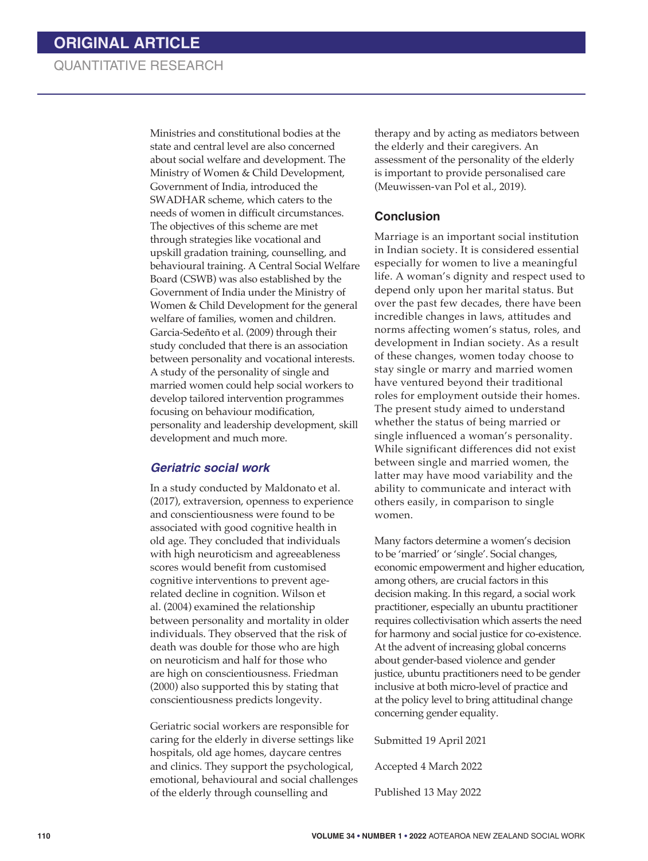# QUANTITATIVE RESEARCH

Ministries and constitutional bodies at the state and central level are also concerned about social welfare and development. The Ministry of Women & Child Development, Government of India, introduced the SWADHAR scheme, which caters to the needs of women in difficult circumstances. The objectives of this scheme are met through strategies like vocational and upskill gradation training, counselling, and behavioural training. A Central Social Welfare Board (CSWB) was also established by the Government of India under the Ministry of Women & Child Development for the general welfare of families, women and children. Garcia-Sedeñto et al. (2009) through their study concluded that there is an association between personality and vocational interests. A study of the personality of single and married women could help social workers to develop tailored intervention programmes focusing on behaviour modification, personality and leadership development, skill development and much more.

#### *Geriatric social work*

In a study conducted by Maldonato et al. (2017), extraversion, openness to experience and conscientiousness were found to be associated with good cognitive health in old age. They concluded that individuals with high neuroticism and agreeableness scores would benefit from customised cognitive interventions to prevent agerelated decline in cognition. Wilson et al. (2004) examined the relationship between personality and mortality in older individuals. They observed that the risk of death was double for those who are high on neuroticism and half for those who are high on conscientiousness. Friedman (2000) also supported this by stating that conscientiousness predicts longevity.

Geriatric social workers are responsible for caring for the elderly in diverse settings like hospitals, old age homes, daycare centres and clinics. They support the psychological, emotional, behavioural and social challenges of the elderly through counselling and

therapy and by acting as mediators between the elderly and their caregivers. An assessment of the personality of the elderly is important to provide personalised care (Meuwissen-van Pol et al., 2019).

#### **Conclusion**

Marriage is an important social institution in Indian society. It is considered essential especially for women to live a meaningful life. A woman's dignity and respect used to depend only upon her marital status. But over the past few decades, there have been incredible changes in laws, attitudes and norms affecting women's status, roles, and development in Indian society. As a result of these changes, women today choose to stay single or marry and married women have ventured beyond their traditional roles for employment outside their homes. The present study aimed to understand whether the status of being married or single influenced a woman's personality. While significant differences did not exist between single and married women, the latter may have mood variability and the ability to communicate and interact with others easily, in comparison to single women.

Many factors determine a women's decision to be 'married' or 'single'. Social changes, economic empowerment and higher education, among others, are crucial factors in this decision making. In this regard, a social work practitioner, especially an ubuntu practitioner requires collectivisation which asserts the need for harmony and social justice for co-existence. At the advent of increasing global concerns about gender-based violence and gender justice, ubuntu practitioners need to be gender inclusive at both micro-level of practice and at the policy level to bring attitudinal change concerning gender equality.

Submitted 19 April 2021

Accepted 4 March 2022

Published 13 May 2022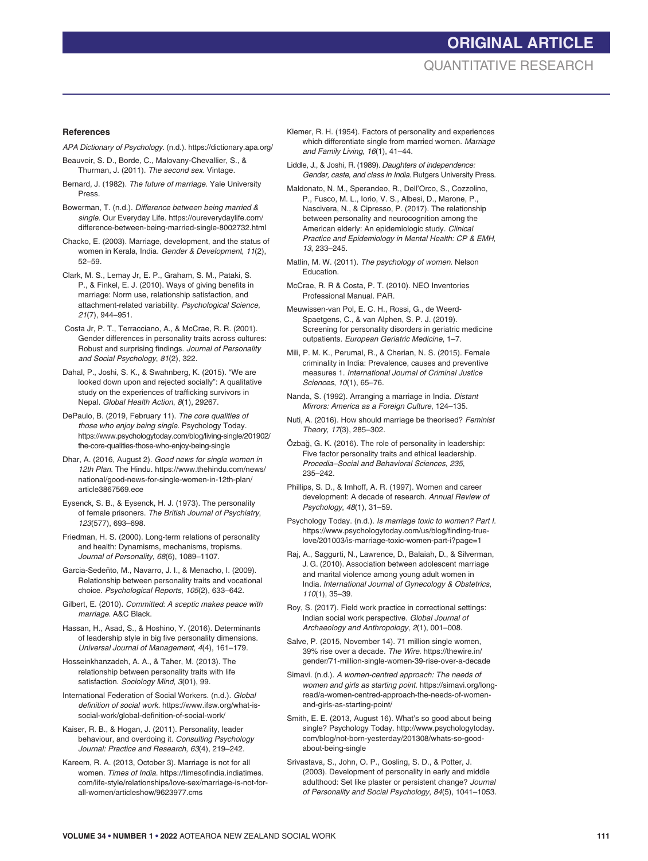# **ORIGINAL ARTICLE** QUANTITATIVE RESEARCH

#### **References**

- *APA Dictionary of Psychology*. (n.d.). https://dictionary.apa.org/
- Beauvoir, S. D., Borde, C., Malovany-Chevallier, S., & Thurman, J. (2011). *The second sex.* Vintage.
- Bernard, J. (1982). *The future of marriage*. Yale University Press.
- Bowerman, T. (n.d.). *Difference between being married & single*. Our Everyday Life. https://oureverydaylife.com/ difference-between-being-married-single-8002732.html
- Chacko, E. (2003). Marriage, development, and the status of women in Kerala, India. *Gender & Development*, *11*(2), 52–59.
- Clark, M. S., Lemay Jr, E. P., Graham, S. M., Pataki, S. P., & Finkel, E. J. (2010). Ways of giving benefits in marriage: Norm use, relationship satisfaction, and attachment-related variability. *Psychological Science*, *21*(7), 944–951.
- Costa Jr, P. T., Terracciano, A., & McCrae, R. R. (2001). Gender differences in personality traits across cultures: Robust and surprising findings. *Journal of Personality and Social Psychology*, *81*(2), 322.
- Dahal, P., Joshi, S. K., & Swahnberg, K. (2015). "We are looked down upon and rejected socially": A qualitative study on the experiences of trafficking survivors in Nepal. *Global Health Action*, *8*(1), 29267.
- DePaulo, B. (2019, February 11). *The core qualities of those who enjoy being single*. Psychology Today. https://www.psychologytoday.com/blog/living-single/201902/ the-core-qualities-those-who-enjoy-being-single
- Dhar, A. (2016, August 2). *Good news for single women in 12th Plan*. The Hindu. https://www.thehindu.com/news/ national/good-news-for-single-women-in-12th-plan/ article3867569.ece
- Eysenck, S. B., & Eysenck, H. J. (1973). The personality of female prisoners. *The British Journal of Psychiatry*, *123*(577), 693–698.
- Friedman, H. S. (2000). Long-term relations of personality and health: Dynamisms, mechanisms, tropisms. *Journal of Personality*, *68*(6), 1089–1107.
- Garcia-Sedeñto, M., Navarro, J. I., & Menacho, I. (2009). Relationship between personality traits and vocational choice. *Psychological Reports*, *105*(2), 633–642.
- Gilbert, E. (2010). *Committed: A sceptic makes peace with marriage*. A&C Black.
- Hassan, H., Asad, S., & Hoshino, Y. (2016). Determinants of leadership style in big five personality dimensions. *Universal Journal of Management*, *4*(4), 161–179.
- Hosseinkhanzadeh, A. A., & Taher, M. (2013). The relationship between personality traits with life satisfaction. *Sociology Mind*, *3*(01), 99.
- International Federation of Social Workers. (n.d.). *Global definition of social work.* https://www.ifsw.org/what-issocial-work/global-definition-of-social-work/
- Kaiser, R. B., & Hogan, J. (2011). Personality, leader behaviour, and overdoing it. *Consulting Psychology Journal: Practice and Research*, *63*(4), 219–242.
- Kareem, R. A. (2013, October 3). Marriage is not for all women *Times of India*. https://timesofindia.indiatimes. com/life-style/relationships/love-sex/marriage-is-not-forall-women/articleshow/9623977.cms
- Klemer, R. H. (1954). Factors of personality and experiences which differentiate single from married women. *Marriage and Family Living, 16*(1), 41–44.
- Liddle, J., & Joshi, R. (1989). *Daughters of independence: Gender, caste, and class in India*. Rutgers University Press.
- Maldonato, N. M., Sperandeo, R., Dell'Orco, S., Cozzolino, P., Fusco, M. L., Iorio, V. S., Albesi, D., Marone, P., Nascivera, N., & Cipresso, P. (2017). The relationship between personality and neurocognition among the American elderly: An epidemiologic study. *Clinical Practice and Epidemiology in Mental Health: CP & EMH*, *13*, 233–245.
- Matlin, M. W. (2011). *The psychology of women*. Nelson Education.
- McCrae, R. R & Costa, P. T. (2010). NEO Inventories Professional Manual. PAR.
- Meuwissen-van Pol, E. C. H., Rossi, G., de Weerd-Spaetgens, C., & van Alphen, S. P. J. (2019). Screening for personality disorders in geriatric medicine outpatients. *European Geriatric Medicine*, 1–7.
- Mili, P. M. K., Perumal, R., & Cherian, N. S. (2015). Female criminality in India: Prevalence, causes and preventive measures 1. *International Journal of Criminal Justice Sciences*, *10*(1), 65–76.
- Nanda, S. (1992). Arranging a marriage in India. *Distant Mirrors: America as a Foreign Culture*, 124–135.
- Nuti, A. (2016). How should marriage be theorised? *Feminist Theory*, *17*(3), 285–302.
- Özbağ, G. K. (2016). The role of personality in leadership: Five factor personality traits and ethical leadership. *Procedia–Social and Behavioral Sciences*, *235*, 235–242.
- Phillips, S. D., & Imhoff, A. R. (1997). Women and career development: A decade of research. *Annual Review of Psychology*, *48*(1), 31–59.
- Psychology Today. (n.d.). *Is marriage toxic to women? Part I.* https://www.psychologytoday.com/us/blog/finding-truelove/201003/is-marriage-toxic-women-part-i?page=1
- Raj, A., Saggurti, N., Lawrence, D., Balaiah, D., & Silverman, J. G. (2010). Association between adolescent marriage and marital violence among young adult women in India. *International Journal of Gynecology & Obstetrics*, *110*(1), 35–39.
- Roy, S. (2017). Field work practice in correctional settings: Indian social work perspective. *Global Journal of Archaeology and Anthropology*, *2*(1), 001–008.
- Salve, P. (2015, November 14). 71 million single women, 39% rise over a decade. *The Wire*. https://thewire.in/ gender/71-million-single-women-39-rise-over-a-decade
- Simavi. (n.d.). *A women-centred approach: The needs of women and girls as starting point*. https://simavi.org/longread/a-women-centred-approach-the-needs-of-womenand-girls-as-starting-point/
- Smith, E. E. (2013, August 16). What's so good about being single? Psychology Today. http://www.psychologytoday. com/blog/not-born-yesterday/201308/whats-so-goodabout-being-single
- Srivastava, S., John, O. P., Gosling, S. D., & Potter, J. (2003). Development of personality in early and middle adulthood: Set like plaster or persistent change? *Journal of Personality and Social Psychology*, *84*(5), 1041–1053.